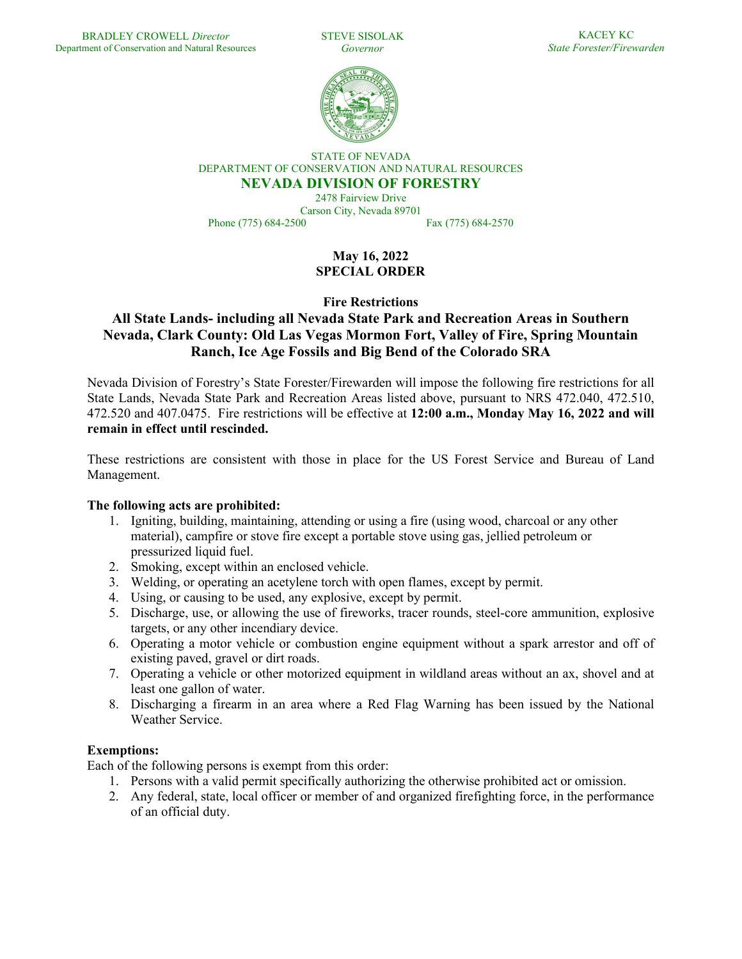STEVE SISOLAK *Governor*

KACEY KC *State Forester/Firewarden*



STATE OF NEVADA DEPARTMENT OF CONSERVATION AND NATURAL RESOURCES **NEVADA DIVISION OF FORESTRY**

2478 Fairview Drive Carson City, Nevada 89701 Phone (775) 684-2500 Fax (775) 684-2570

> **May 16, 2022 SPECIAL ORDER**

**Fire Restrictions**

# **All State Lands- including all Nevada State Park and Recreation Areas in Southern Nevada, Clark County: Old Las Vegas Mormon Fort, Valley of Fire, Spring Mountain Ranch, Ice Age Fossils and Big Bend of the Colorado SRA**

Nevada Division of Forestry's State Forester/Firewarden will impose the following fire restrictions for all State Lands, Nevada State Park and Recreation Areas listed above, pursuant to NRS 472.040, 472.510, 472.520 and 407.0475. Fire restrictions will be effective at **12:00 a.m., Monday May 16, 2022 and will remain in effect until rescinded.** 

These restrictions are consistent with those in place for the US Forest Service and Bureau of Land Management.

### **The following acts are prohibited:**

- 1. Igniting, building, maintaining, attending or using a fire (using wood, charcoal or any other material), campfire or stove fire except a portable stove using gas, jellied petroleum or pressurized liquid fuel.
- 2. Smoking, except within an enclosed vehicle.
- 3. Welding, or operating an acetylene torch with open flames, except by permit.
- 4. Using, or causing to be used, any explosive, except by permit.
- 5. Discharge, use, or allowing the use of fireworks, tracer rounds, steel-core ammunition, explosive targets, or any other incendiary device.
- 6. Operating a motor vehicle or combustion engine equipment without a spark arrestor and off of existing paved, gravel or dirt roads.
- 7. Operating a vehicle or other motorized equipment in wildland areas without an ax, shovel and at least one gallon of water.
- 8. Discharging a firearm in an area where a Red Flag Warning has been issued by the National Weather Service.

### **Exemptions:**

Each of the following persons is exempt from this order:

- 1. Persons with a valid permit specifically authorizing the otherwise prohibited act or omission.
- 2. Any federal, state, local officer or member of and organized firefighting force, in the performance of an official duty.